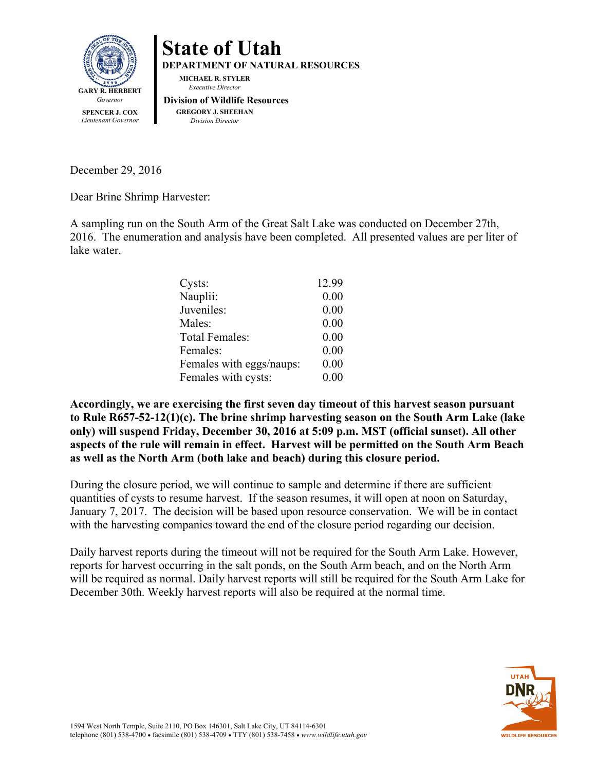



December 29, 2016

Dear Brine Shrimp Harvester:

A sampling run on the South Arm of the Great Salt Lake was conducted on December 27th, 2016. The enumeration and analysis have been completed. All presented values are per liter of lake water.

| Cysts:                   | 12.99 |
|--------------------------|-------|
| Nauplii:                 | 0.00  |
| Juveniles:               | 0.00  |
| Males:                   | 0.00  |
| Total Females:           | 0.00  |
| Females:                 | 0.00  |
| Females with eggs/naups: | 0.00  |
| Females with cysts:      | 0.00  |

**Accordingly, we are exercising the first seven day timeout of this harvest season pursuant to Rule R657-52-12(1)(c). The brine shrimp harvesting season on the South Arm Lake (lake only) will suspend Friday, December 30, 2016 at 5:09 p.m. MST (official sunset). All other aspects of the rule will remain in effect. Harvest will be permitted on the South Arm Beach as well as the North Arm (both lake and beach) during this closure period.** 

During the closure period, we will continue to sample and determine if there are sufficient quantities of cysts to resume harvest. If the season resumes, it will open at noon on Saturday, January 7, 2017. The decision will be based upon resource conservation. We will be in contact with the harvesting companies toward the end of the closure period regarding our decision.

Daily harvest reports during the timeout will not be required for the South Arm Lake. However, reports for harvest occurring in the salt ponds, on the South Arm beach, and on the North Arm will be required as normal. Daily harvest reports will still be required for the South Arm Lake for December 30th. Weekly harvest reports will also be required at the normal time.